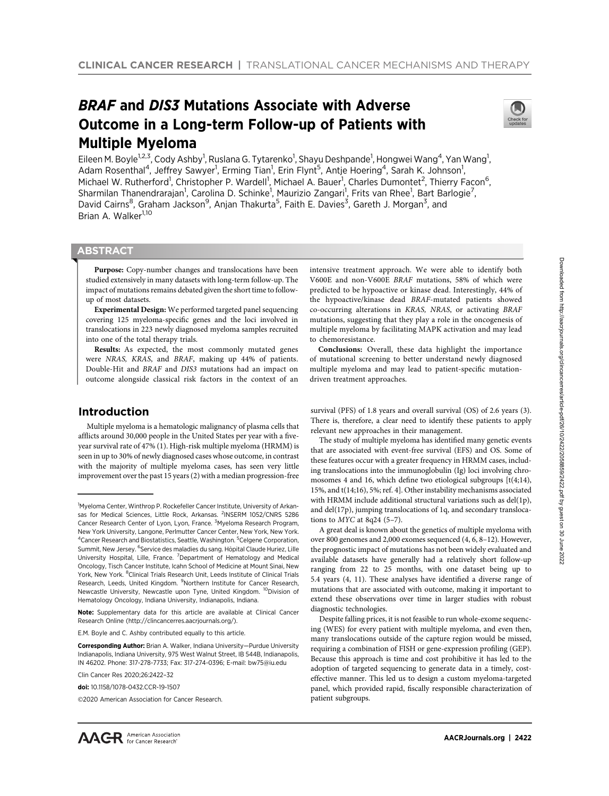# BRAF and DIS3 Mutations Associate with Adverse Outcome in a Long-term Follow-up of Patients with Multiple Myeloma



Eileen M. Boyle<sup>1,2,3</sup>, Cody Ashby<sup>1</sup>, Ruslana G. Tytarenko<sup>1</sup>, Shayu Deshpande<sup>1</sup>, Hongwei Wang<sup>4</sup>, Yan Wang<sup>1</sup>, Adam Rosenthal<sup>4</sup>, Jeffrey Sawyer<sup>1</sup>, Erming Tian<sup>1</sup>, Erin Flynt<sup>5</sup>, Antje Hoering<sup>4</sup>, Sarah K. Johnson<sup>1</sup>, Michael W. Rutherford<sup>1</sup>, Christopher P. Wardell<sup>1</sup>, Michael A. Bauer<sup>1</sup>, Charles Dumontet<sup>2</sup>, Thierry Facon<sup>6</sup>, Sharmilan Thanendrarajan<sup>1</sup>, Carolina D. Schinke<sup>1</sup>, Maurizio Zangari<sup>1</sup>, Frits van Rhee<sup>1</sup>, Bart Barlogie<sup>7</sup>, David Cairns<sup>8</sup>, Graham Jackson<sup>9</sup>, Anjan Thakurta<sup>5</sup>, Faith E. Davies<sup>3</sup>, Gareth J. Morgan<sup>3</sup>, and Brian A. Walker<sup>1,10</sup>

# **ABSTRACT**

◥

Purpose: Copy-number changes and translocations have been studied extensively in many datasets with long-term follow-up. The impact of mutations remains debated given the short time to followup of most datasets.

Experimental Design: We performed targeted panel sequencing covering 125 myeloma-specific genes and the loci involved in translocations in 223 newly diagnosed myeloma samples recruited into one of the total therapy trials.

Results: As expected, the most commonly mutated genes were NRAS, KRAS, and BRAF, making up 44% of patients. Double-Hit and BRAF and DIS3 mutations had an impact on outcome alongside classical risk factors in the context of an

# Introduction

Multiple myeloma is a hematologic malignancy of plasma cells that afflicts around 30,000 people in the United States per year with a fiveyear survival rate of 47% (1). High-risk multiple myeloma (HRMM) is seen in up to 30% of newly diagnosed cases whose outcome, in contrast with the majority of multiple myeloma cases, has seen very little improvement over the past 15 years (2) with a median progression-free

intensive treatment approach. We were able to identify both V600E and non-V600E BRAF mutations, 58% of which were predicted to be hypoactive or kinase dead. Interestingly, 44% of the hypoactive/kinase dead BRAF-mutated patients showed co-occurring alterations in KRAS, NRAS, or activating BRAF mutations, suggesting that they play a role in the oncogenesis of multiple myeloma by facilitating MAPK activation and may lead to chemoresistance.

Conclusions: Overall, these data highlight the importance of mutational screening to better understand newly diagnosed multiple myeloma and may lead to patient-specific mutationdriven treatment approaches.

survival (PFS) of 1.8 years and overall survival (OS) of 2.6 years (3). There is, therefore, a clear need to identify these patients to apply relevant new approaches in their management.

The study of multiple myeloma has identified many genetic events that are associated with event-free survival (EFS) and OS. Some of these features occur with a greater frequency in HRMM cases, including translocations into the immunoglobulin (Ig) loci involving chromosomes 4 and 16, which define two etiological subgroups [t(4;14), 15%, and t(14;16), 5%; ref. 4]. Other instability mechanisms associated with HRMM include additional structural variations such as del(1p), and del(17p), jumping translocations of 1q, and secondary translocations to  $M<sup>24</sup>$  (5-7).

A great deal is known about the genetics of multiple myeloma with over 800 genomes and 2,000 exomes sequenced (4, 6, 8–12). However, the prognostic impact of mutations has not been widely evaluated and available datasets have generally had a relatively short follow-up ranging from 22 to 25 months, with one dataset being up to 5.4 years (4, 11). These analyses have identified a diverse range of mutations that are associated with outcome, making it important to extend these observations over time in larger studies with robust diagnostic technologies.

Despite falling prices, it is not feasible to run whole-exome sequencing (WES) for every patient with multiple myeloma, and even then, many translocations outside of the capture region would be missed, requiring a combination of FISH or gene-expression profiling (GEP). Because this approach is time and cost prohibitive it has led to the adoption of targeted sequencing to generate data in a timely, costeffective manner. This led us to design a custom myeloma-targeted panel, which provided rapid, fiscally responsible characterization of patient subgroups.

<sup>&</sup>lt;sup>1</sup>Myeloma Center, Winthrop P. Rockefeller Cancer Institute, University of Arkansas for Medical Sciences, Little Rock, Arkansas. <sup>2</sup>INSERM 1052/CNRS 5286 Cancer Research Center of Lyon, Lyon, France. <sup>3</sup>Myeloma Research Program, New York University, Langone, Perlmutter Cancer Center, New York, New York. <sup>4</sup> Cancer Research and Biostatistics, Seattle, Washington. <sup>5</sup> Celgene Corporation, Summit, New Jersey. <sup>6</sup>Service des maladies du sang. Hôpital Claude Huriez, Lille University Hospital, Lille, France. <sup>7</sup>Department of Hematology and Medical Oncology, Tisch Cancer Institute, Icahn School of Medicine at Mount Sinai, New York, New York. <sup>8</sup>Clinical Trials Research Unit, Leeds Institute of Clinical Trials Research, Leeds, United Kingdom. <sup>9</sup>Northern Institute for Cancer Research, Newcastle University, Newcastle upon Tyne, United Kingdom. <sup>10</sup>Division of Hematology Oncology, Indiana University, Indianapolis, Indiana.

Note: Supplementary data for this article are available at Clinical Cancer Research Online (http://clincancerres.aacrjournals.org/).

E.M. Boyle and C. Ashby contributed equally to this article.

Corresponding Author: Brian A. Walker, Indiana University—Purdue University Indianapolis, Indiana University, 975 West Walnut Street, IB 544B, Indianapolis, IN 46202. Phone: 317-278-7733; Fax: 317-274-0396; E-mail: bw75@iu.edu

Clin Cancer Res 2020;26:2422–32

doi: 10.1158/1078-0432.CCR-19-1507

<sup>2020</sup> American Association for Cancer Research.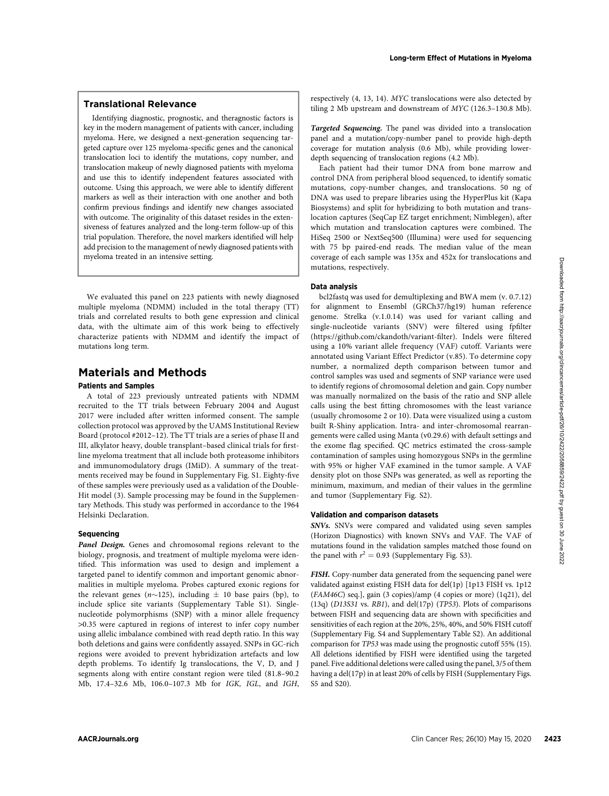## Translational Relevance

Identifying diagnostic, prognostic, and theragnostic factors is key in the modern management of patients with cancer, including myeloma. Here, we designed a next-generation sequencing targeted capture over 125 myeloma-specific genes and the canonical translocation loci to identify the mutations, copy number, and translocation makeup of newly diagnosed patients with myeloma and use this to identify independent features associated with outcome. Using this approach, we were able to identify different markers as well as their interaction with one another and both confirm previous findings and identify new changes associated with outcome. The originality of this dataset resides in the extensiveness of features analyzed and the long-term follow-up of this trial population. Therefore, the novel markers identified will help add precision to the management of newly diagnosed patients with myeloma treated in an intensive setting.

We evaluated this panel on 223 patients with newly diagnosed multiple myeloma (NDMM) included in the total therapy (TT) trials and correlated results to both gene expression and clinical data, with the ultimate aim of this work being to effectively characterize patients with NDMM and identify the impact of mutations long term.

# Materials and Methods

# Patients and Samples

A total of 223 previously untreated patients with NDMM recruited to the TT trials between February 2004 and August 2017 were included after written informed consent. The sample collection protocol was approved by the UAMS Institutional Review Board (protocol #2012–12). The TT trials are a series of phase II and III, alkylator heavy, double transplant–based clinical trials for firstline myeloma treatment that all include both proteasome inhibitors and immunomodulatory drugs (IMiD). A summary of the treatments received may be found in Supplementary Fig. S1. Eighty-five of these samples were previously used as a validation of the Double-Hit model (3). Sample processing may be found in the Supplementary Methods. This study was performed in accordance to the 1964 Helsinki Declaration.

### **Sequencing**

Panel Design. Genes and chromosomal regions relevant to the biology, prognosis, and treatment of multiple myeloma were identified. This information was used to design and implement a targeted panel to identify common and important genomic abnormalities in multiple myeloma. Probes captured exonic regions for the relevant genes ( $n\sim$ 125), including  $\pm$  10 base pairs (bp), to include splice site variants (Supplementary Table S1). Singlenucleotide polymorphisms (SNP) with a minor allele frequency >0.35 were captured in regions of interest to infer copy number using allelic imbalance combined with read depth ratio. In this way both deletions and gains were confidently assayed. SNPs in GC-rich regions were avoided to prevent hybridization artefacts and low depth problems. To identify Ig translocations, the V, D, and J segments along with entire constant region were tiled (81.8–90.2 Mb, 17.4–32.6 Mb, 106.0–107.3 Mb for IGK, IGL, and IGH, respectively (4, 13, 14). MYC translocations were also detected by tiling 2 Mb upstream and downstream of MYC (126.3–130.8 Mb).

Targeted Sequencing. The panel was divided into a translocation panel and a mutation/copy-number panel to provide high-depth coverage for mutation analysis (0.6 Mb), while providing lowerdepth sequencing of translocation regions (4.2 Mb).

Each patient had their tumor DNA from bone marrow and control DNA from peripheral blood sequenced, to identify somatic mutations, copy-number changes, and translocations. 50 ng of DNA was used to prepare libraries using the HyperPlus kit (Kapa Biosystems) and split for hybridizing to both mutation and translocation captures (SeqCap EZ target enrichment; Nimblegen), after which mutation and translocation captures were combined. The HiSeq 2500 or NextSeq500 (Illumina) were used for sequencing with 75 bp paired-end reads. The median value of the mean coverage of each sample was 135x and 452x for translocations and mutations, respectively.

### Data analysis

bcl2fastq was used for demultiplexing and BWA mem (v. 0.7.12) for alignment to Ensembl (GRCh37/hg19) human reference genome. Strelka (v.1.0.14) was used for variant calling and single-nucleotide variants (SNV) were filtered using fpfilter ([https://github.com/ckandoth/variant-](https://github.com/ckandoth/variant-filter)filter). Indels were filtered using a 10% variant allele frequency (VAF) cutoff. Variants were annotated using Variant Effect Predictor (v.85). To determine copy number, a normalized depth comparison between tumor and control samples was used and segments of SNP variance were used to identify regions of chromosomal deletion and gain. Copy number was manually normalized on the basis of the ratio and SNP allele calls using the best fitting chromosomes with the least variance (usually chromosome 2 or 10). Data were visualized using a custom built R-Shiny application. Intra- and inter-chromosomal rearrangements were called using Manta (v0.29.6) with default settings and the exome flag specified. QC metrics estimated the cross-sample contamination of samples using homozygous SNPs in the germline with 95% or higher VAF examined in the tumor sample. A VAF density plot on those SNPs was generated, as well as reporting the minimum, maximum, and median of their values in the germline and tumor (Supplementary Fig. S2). According the matrix or the matrix of the state of the state of the state of the state of the state of the state of the state of the state of the state of the state of the state of the state of the state of the state of t

### Validation and comparison datasets

SNVs. SNVs were compared and validated using seven samples (Horizon Diagnostics) with known SNVs and VAF. The VAF of mutations found in the validation samples matched those found on the panel with  $r^2 = 0.93$  (Supplementary Fig. S3).

FISH. Copy-number data generated from the sequencing panel were validated against existing FISH data for del(1p) [1p13 FISH vs. 1p12 (FAM46C) seq.], gain (3 copies)/amp (4 copies or more) (1q21), del (13q) (D13S31 vs. RB1), and del(17p) (TP53). Plots of comparisons between FISH and sequencing data are shown with specificities and sensitivities of each region at the 20%, 25%, 40%, and 50% FISH cutoff (Supplementary Fig. S4 and Supplementary Table S2). An additional comparison for TP53 was made using the prognostic cutoff 55% (15). All deletions identified by FISH were identified using the targeted panel. Five additional deletions were called using the panel, 3/5 of them having a del(17p) in at least 20% of cells by FISH (Supplementary Figs. S5 and S20).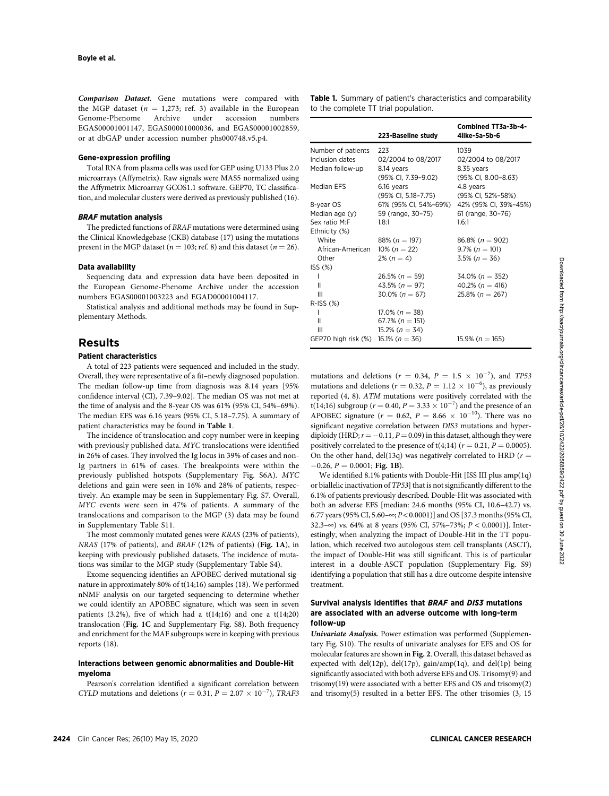Comparison Dataset. Gene mutations were compared with the MGP dataset  $(n = 1,273;$  ref. 3) available in the European Genome-Phenome Archive under accession numbers Genome-Phenome Archive under accession EGAS00001001147, EGAS00001000036, and EGAS00001002859, or at dbGAP under accession number phs000748.v5.p4.

#### Gene-expression profiling

Total RNA from plasma cells was used for GEP using U133 Plus 2.0 microarrays (Affymetrix). Raw signals were MAS5 normalized using the Affymetrix Microarray GCOS1.1 software. GEP70, TC classification, and molecular clusters were derived as previously published (16).

### BRAF mutation analysis

The predicted functions of BRAF mutations were determined using the Clinical Knowledgebase (CKB) database (17) using the mutations present in the MGP dataset ( $n = 103$ ; ref. 8) and this dataset ( $n = 26$ ).

#### Data availability

Sequencing data and expression data have been deposited in the European Genome-Phenome Archive under the accession numbers EGAS00001003223 and EGAD00001004117.

Statistical analysis and additional methods may be found in Supplementary Methods.

# Results

# Patient characteristics

A total of 223 patients were sequenced and included in the study. Overall, they were representative of a fit–newly diagnosed population. The median follow-up time from diagnosis was 8.14 years [95% confidence interval (CI), 7.39–9.02]. The median OS was not met at the time of analysis and the 8-year OS was 61% (95% CI, 54%–69%). The median EFS was 6.16 years (95% CI, 5.18–7.75). A summary of patient characteristics may be found in Table 1.

The incidence of translocation and copy number were in keeping with previously published data. MYC translocations were identified in 26% of cases. They involved the Ig locus in 39% of cases and non-Ig partners in 61% of cases. The breakpoints were within the previously published hotspots (Supplementary Fig. S6A). MYC deletions and gain were seen in 16% and 28% of patients, respectively. An example may be seen in Supplementary Fig. S7. Overall, MYC events were seen in 47% of patients. A summary of the translocations and comparison to the MGP (3) data may be found in Supplementary Table S11.

The most commonly mutated genes were KRAS (23% of patients), NRAS (17% of patients), and BRAF (12% of patients) (Fig. 1A), in keeping with previously published datasets. The incidence of mutations was similar to the MGP study (Supplementary Table S4).

Exome sequencing identifies an APOBEC-derived mutational signature in approximately 80% of t(14;16) samples (18). We performed nNMF analysis on our targeted sequencing to determine whether we could identify an APOBEC signature, which was seen in seven patients  $(3.2\%)$ , five of which had a t $(14;16)$  and one a t $(14;20)$ translocation (Fig. 1C and Supplementary Fig. S8). Both frequency and enrichment for the MAF subgroups were in keeping with previous reports (18).

### Interactions between genomic abnormalities and Double-Hit myeloma

Pearson's correlation identified a significant correlation between CYLD mutations and deletions ( $r = 0.31$ ,  $P = 2.07 \times 10^{-7}$ ), TRAF3

Table 1. Summary of patient's characteristics and comparability to the complete TT trial population.

|                                         | 223-Baseline study    | Combined TT3a-3b-4-<br>4like-5a-5b-6 |
|-----------------------------------------|-----------------------|--------------------------------------|
| Number of patients                      | 223                   | 1039                                 |
| Inclusion dates                         | 02/2004 to 08/2017    | 02/2004 to 08/2017                   |
| Median follow-up                        | 8.14 years            | 8.35 years                           |
|                                         | (95% Cl, 7.39-9.02)   | (95% CI, 8.00-8.63)                  |
| Median EFS                              | 6.16 years            | 4.8 years                            |
|                                         | (95% CI, 5.18–7.75)   | (95% CI, 52%-58%)                    |
| 8-year OS                               | 61% (95% CI, 54%-69%) | 42% (95% CI, 39%-45%)                |
| Median age (y)                          | 59 (range, 30-75)     | 61 (range, 30-76)                    |
| Sex ratio M:F                           | 1.8:1                 | 1.6:1                                |
| Ethnicity (%)                           |                       |                                      |
| White                                   | 88% ( $n = 197$ )     | 86.8% ( $n = 902$ )                  |
| African-American                        | 10% ( $n = 22$ )      | $9.7\%$ ( $n = 101$ )                |
| Other                                   | $2\% (n = 4)$         | $3.5\%$ ( $n = 36$ )                 |
| ISS <sub>(%)</sub>                      |                       |                                      |
| L                                       | $26.5\%$ (n = 59)     | $34.0\%$ (n = 352)                   |
| Ш                                       | 43.5% ( $n = 97$ )    | 40.2% ( $n = 416$ )                  |
| Ш                                       | $30.0\%$ (n = 67)     | 25.8% ( $n = 267$ )                  |
| $R$ -ISS $(\%)$                         |                       |                                      |
| L                                       | $17.0\%$ (n = 38)     |                                      |
| Ш                                       | 67.7% ( $n = 151$ )   |                                      |
| Ш                                       | $15.2\%$ (n = 34)     |                                      |
| GEP70 high risk $(\%)$ 16.1% $(n = 36)$ |                       | $15.9\%$ (n = 165)                   |

mutations and deletions ( $r = 0.34$ ,  $P = 1.5 \times 10^{-7}$ ), and TP53 mutations and deletions ( $r = 0.32$ ,  $P = 1.12 \times 10^{-6}$ ), as previously reported (4, 8). ATM mutations were positively correlated with the t(14;16) subgroup ( $r = 0.40, P = 3.33 \times 10^{-7}$ ) and the presence of an APOBEC signature ( $r = 0.62$ ,  $P = 8.66 \times 10^{-10}$ ). There was no significant negative correlation between DIS3 mutations and hyperdiploidy (HRD;  $r = -0.11$ ,  $P = 0.09$ ) in this dataset, although they were positively correlated to the presence of  $t(4;14)$  ( $r = 0.21$ ,  $P = 0.0005$ ). On the other hand, del(13q) was negatively correlated to HRD ( $r =$  $-0.26$ ,  $P = 0.0001$ ; Fig. 1B).

We identified 8.1% patients with Double-Hit [ISS III plus amp(1q) or biallelic inactivation of TP53] that is not significantly different to the 6.1% of patients previously described. Double-Hit was associated with both an adverse EFS [median: 24.6 months (95% CI, 10.6–42.7) vs. 6.77 years (95% CI, 5.60– $\infty$ ; P < 0.0001)] and OS [37.3 months (95% CI, 32.3– $\infty$ ) vs. 64% at 8 years (95% CI, 57%–73%; P < 0.0001)]. Interestingly, when analyzing the impact of Double-Hit in the TT population, which received two autologous stem cell transplants (ASCT), the impact of Double-Hit was still significant. This is of particular interest in a double-ASCT population (Supplementary Fig. S9) identifying a population that still has a dire outcome despite intensive treatment.

# Survival analysis identifies that BRAF and DIS3 mutations are associated with an adverse outcome with long-term follow-up

Univariate Analysis. Power estimation was performed (Supplementary Fig. S10). The results of univariate analyses for EFS and OS for molecular features are shown in Fig. 2. Overall, this dataset behaved as expected with del(12p), del(17p), gain/amp(1q), and del(1p) being significantly associated with both adverse EFS and OS. Trisomy(9) and trisomy(19) were associated with a better EFS and OS and trisomy(2) and trisomy(5) resulted in a better EFS. The other trisomies (3, 15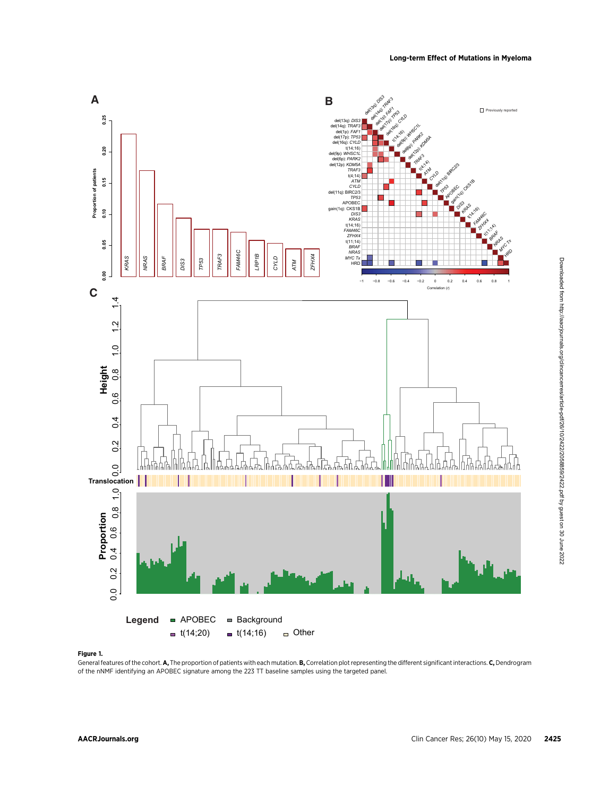

# Figure 1.

General features of the cohort. A, The proportion of patients with each mutation. B, Correlation plot representing the different significant interactions. C, Dendrogram of the nNMF identifying an APOBEC signature among the 223 TT baseline samples using the targeted panel.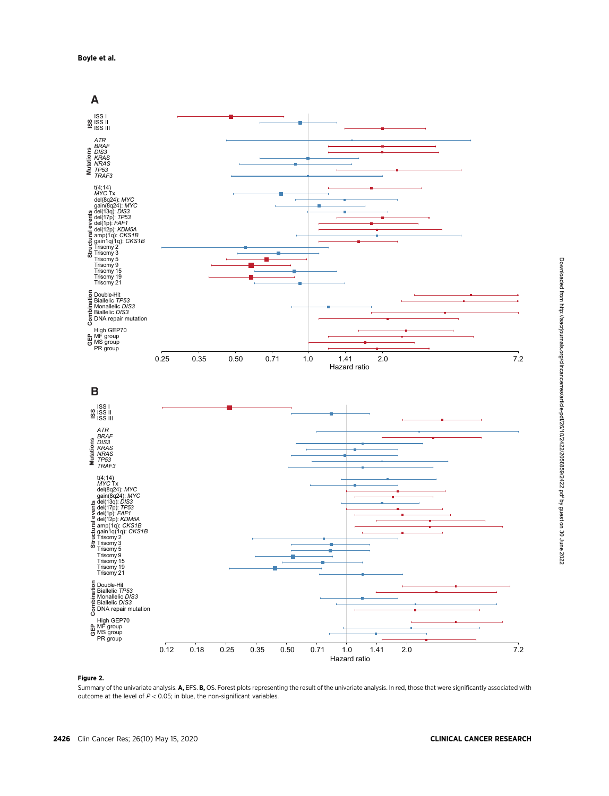

#### Figure 2.

Summary of the univariate analysis. A, EFS. B, OS. Forest plots representing the result of the univariate analysis. In red, those that were significantly associated with outcome at the level of  $P < 0.05$ ; in blue, the non-significant variables.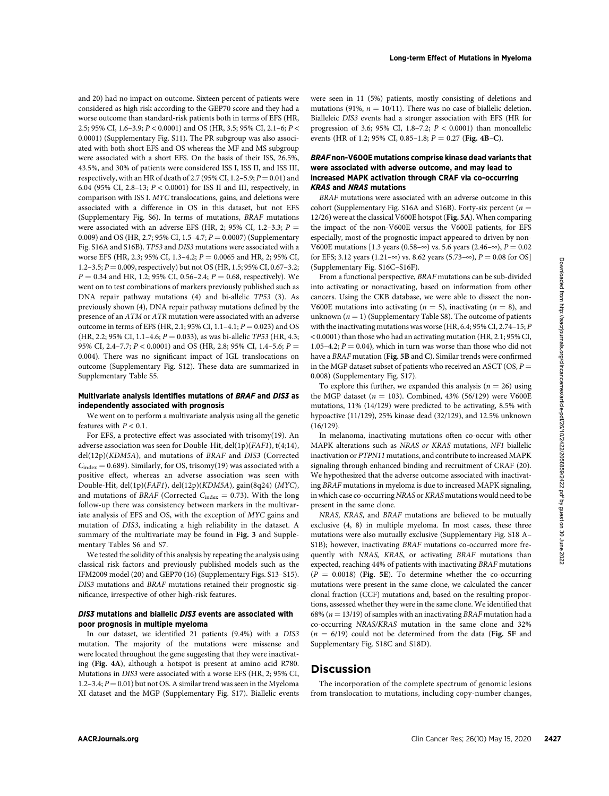and 20) had no impact on outcome. Sixteen percent of patients were considered as high risk according to the GEP70 score and they had a worse outcome than standard-risk patients both in terms of EFS (HR, 2.5; 95% CI, 1.6–3.9; P < 0.0001) and OS (HR, 3.5; 95% CI, 2.1–6; P < 0.0001) (Supplementary Fig. S11). The PR subgroup was also associated with both short EFS and OS whereas the MF and MS subgroup were associated with a short EFS. On the basis of their ISS, 26.5%, 43.5%, and 30% of patients were considered ISS I, ISS II, and ISS III, respectively, with an HR of death of 2.7 (95% CI, 1.2–5.9;  $P = 0.01$ ) and 6.04 (95% CI, 2.8–13; P < 0.0001) for ISS II and III, respectively, in comparison with ISS I. MYC translocations, gains, and deletions were associated with a difference in OS in this dataset, but not EFS (Supplementary Fig. S6). In terms of mutations, BRAF mutations were associated with an adverse EFS (HR, 2; 95% CI, 1.2-3.3;  $P =$ 0.009) and OS (HR, 2.7; 95% CI, 1.5–4.7;  $P = 0.0007$ ) (Supplementary Fig. S16A and S16B). TP53 and DIS3 mutations were associated with a worse EFS (HR, 2.3; 95% CI, 1.3–4.2;  $P = 0.0065$  and HR, 2; 95% CI, 1.2–3.5;  $P = 0.009$ , respectively) but not OS (HR, 1.5; 95% CI, 0.67–3.2;  $P = 0.34$  and HR, 1.2; 95% CI, 0.56-2.4;  $P = 0.68$ , respectively). We went on to test combinations of markers previously published such as DNA repair pathway mutations (4) and bi-allelic TP53 (3). As previously shown (4), DNA repair pathway mutations defined by the presence of an ATM or ATR mutation were associated with an adverse outcome in terms of EFS (HR, 2.1; 95% CI, 1.1–4.1;  $P = 0.023$ ) and OS (HR, 2.2; 95% CI, 1.1–4.6;  $P = 0.033$ ), as was bi-allelic TP53 (HR, 4.3; 95% CI, 2.4–7.7;  $P < 0.0001$ ) and OS (HR, 2.8; 95% CI, 1.4–5.6;  $P =$ 0.004). There was no significant impact of IGL translocations on outcome (Supplementary Fig. S12). These data are summarized in Supplementary Table S5.

### Multivariate analysis identifies mutations of BRAF and DIS3 as independently associated with prognosis

We went on to perform a multivariate analysis using all the genetic features with  $P < 0.1$ .

For EFS, a protective effect was associated with trisomy(19). An adverse association was seen for Double-Hit, del(1p)(FAF1), t(4;14), del(12p)(KDM5A), and mutations of BRAF and DIS3 (Corrected  $C_{index} = 0.689$ . Similarly, for OS, trisomy(19) was associated with a positive effect, whereas an adverse association was seen with Double-Hit, del(1p)(FAF1), del(12p)(KDM5A), gain(8q24) (MYC), and mutations of BRAF (Corrected  $C_{index} = 0.73$ ). With the long follow-up there was consistency between markers in the multivariate analysis of EFS and OS, with the exception of MYC gains and mutation of DIS3, indicating a high reliability in the dataset. A summary of the multivariate may be found in Fig. 3 and Supplementary Tables S6 and S7.

We tested the solidity of this analysis by repeating the analysis using classical risk factors and previously published models such as the IFM2009 model (20) and GEP70 (16) (Supplementary Figs. S13–S15). DIS3 mutations and BRAF mutations retained their prognostic significance, irrespective of other high-risk features.

### DIS3 mutations and biallelic DIS3 events are associated with poor prognosis in multiple myeloma

In our dataset, we identified 21 patients (9.4%) with a DIS3 mutation. The majority of the mutations were missense and were located throughout the gene suggesting that they were inactivating (Fig. 4A), although a hotspot is present at amino acid R780. Mutations in DIS3 were associated with a worse EFS (HR, 2; 95% CI, 1.2–3.4;  $P = 0.01$ ) but not OS. A similar trend was seen in the Myeloma XI dataset and the MGP (Supplementary Fig. S17). Biallelic events were seen in 11 (5%) patients, mostly consisting of deletions and mutations (91%,  $n = 10/11$ ). There was no case of biallelic deletion. Bialleleic DIS3 events had a stronger association with EFS (HR for progression of 3.6; 95% CI, 1.8–7.2;  $P < 0.0001$ ) than monoallelic events (HR of 1.2; 95% CI, 0.85–1.8;  $P = 0.27$  (Fig. 4B–C).

### BRAF non-V600E mutations comprise kinase dead variants that were associated with adverse outcome, and may lead to increased MAPK activation through CRAF via co-occurring KRAS and NRAS mutations

BRAF mutations were associated with an adverse outcome in this cohort (Supplementary Fig. S16A and S16B). Forty-six percent ( $n =$ 12/26) were at the classical V600E hotspot (Fig. 5A). When comparing the impact of the non-V600E versus the V600E patients, for EFS especially, most of the prognostic impact appeared to driven by non-V600E mutations [1.3 years (0.58– $\infty$ ) vs. 5.6 years (2.46– $\infty$ ),  $P = 0.02$ for EFS; 3.12 years (1.21– $\infty$ ) vs. 8.62 years (5.73– $\infty$ ),  $P = 0.08$  for OS] (Supplementary Fig. S16C–S16F).

From a functional perspective, BRAF mutations can be sub-divided into activating or nonactivating, based on information from other cancers. Using the CKB database, we were able to dissect the non-V600E mutations into activating ( $n = 5$ ), inactivating ( $n = 8$ ), and unknown  $(n = 1)$  (Supplementary Table S8). The outcome of patients with the inactivating mutations was worse (HR,  $6.4$ ; 95% CI, 2.74–15; P < 0.0001) than those who had an activating mutation (HR, 2.1; 95% CI, 1.05–4.2;  $P = 0.04$ ), which in turn was worse than those who did not have a BRAF mutation (Fig. 5B and C). Similar trends were confirmed in the MGP dataset subset of patients who received an ASCT (OS,  $P =$ 0.008) (Supplementary Fig. S17).

To explore this further, we expanded this analysis ( $n = 26$ ) using the MGP dataset ( $n = 103$ ). Combined, 43% (56/129) were V600E mutations, 11% (14/129) were predicted to be activating, 8.5% with hypoactive (11/129), 25% kinase dead (32/129), and 12.5% unknown (16/129).

In melanoma, inactivating mutations often co-occur with other MAPK alterations such as NRAS or KRAS mutations, NF1 biallelic inactivation or PTPN11 mutations, and contribute to increased MAPK signaling through enhanced binding and recruitment of CRAF (20). We hypothesized that the adverse outcome associated with inactivating BRAF mutations in myeloma is due to increased MAPK signaling, in which case co-occurring NRAS or KRAS mutations would need to be present in the same clone.

NRAS, KRAS, and BRAF mutations are believed to be mutually exclusive (4, 8) in multiple myeloma. In most cases, these three mutations were also mutually exclusive (Supplementary Fig. S18 A– S1B); however, inactivating BRAF mutations co-occurred more frequently with NRAS, KRAS, or activating BRAF mutations than expected, reaching 44% of patients with inactivating BRAF mutations  $(P = 0.0018)$  (Fig. 5E). To determine whether the co-occurring mutations were present in the same clone, we calculated the cancer clonal fraction (CCF) mutations and, based on the resulting proportions, assessed whether they were in the same clone. We identified that 68% ( $n = 13/19$ ) of samples with an inactivating BRAF mutation had a co-occurring NRAS/KRAS mutation in the same clone and 32%  $(n = 6/19)$  could not be determined from the data (Fig. 5F and Supplementary Fig. S18C and S18D). A 2.3 - 2.4 - 2.6 - 2.6 - 2.6 - 2.6 - 2.6 - 2.6 - 2.6 - 2.6 - 2.6 - 2.6 - 2.6 - 2.6 - 2.6 - 2.6 - 2.6 - 2.6 - 2.6 - 2.6 - 2.6 - 2.6 - 2.6 - 2.6 - 2.6 - 2.6 - 2.6 - 2.6 - 2.6 - 2.6 - 2.6 - 2.6 - 2.6 - 2.6 - 2.6 - 2.6 - 2

# Discussion

The incorporation of the complete spectrum of genomic lesions from translocation to mutations, including copy-number changes,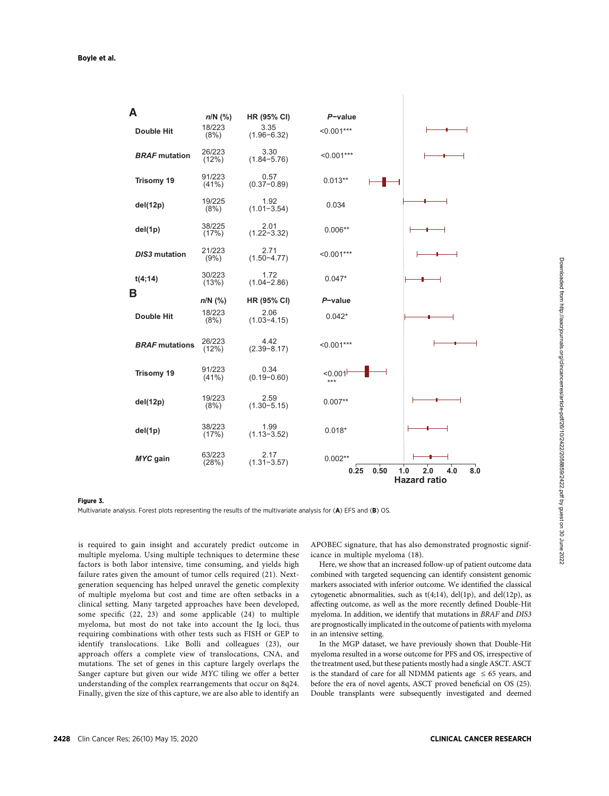| A                     | $n/N$ (%)          | HR (95% CI)             | $P$ -value        |                                                 |
|-----------------------|--------------------|-------------------------|-------------------|-------------------------------------------------|
| <b>Double Hit</b>     | 18/223<br>(8%)     | 3.35<br>$(1.96 - 6.32)$ | $< 0.001***$      |                                                 |
| <b>BRAF</b> mutation  | 26/223<br>(12%)    | 3.30<br>$(1.84 - 5.76)$ | $< 0.001***$      |                                                 |
| <b>Trisomy 19</b>     | 91/223<br>(41%)    | 0.57<br>$(0.37 - 0.89)$ | $0.013**$         |                                                 |
| del(12p)              | 19/225<br>(8%)     | 1.92<br>$(1.01 - 3.54)$ | 0.034             |                                                 |
| del(1p)               | 38/225<br>(17%)    | 2.01<br>$(1.22 - 3.32)$ | $0.006**$         |                                                 |
| <b>DIS3</b> mutation  | 21/223<br>(9%)     | 2.71<br>$(1.50 - 4.77)$ | $< 0.001***$      |                                                 |
| t(4;14)               | 30/223<br>(13%)    | 1.72<br>$(1.04 - 2.86)$ | $0.047*$          |                                                 |
| В                     | $n/N$ (%)          | HR (95% CI)             | $P$ -value        |                                                 |
| <b>Double Hit</b>     | 18/223<br>(8%)     | 2.06<br>$(1.03 - 4.15)$ | $0.042*$          |                                                 |
| <b>BRAF</b> mutations | 26/223<br>(12%)    | 4.42<br>$(2.39 - 8.17)$ | $< 0.001***$      |                                                 |
| <b>Trisomy 19</b>     | 91/223<br>$(41\%)$ | 0.34<br>$(0.19 - 0.60)$ | $0.001$<br>$***$  |                                                 |
| del(12p)              | 19/223<br>(8%)     | 2.59<br>$(1.30 - 5.15)$ | $0.007**$         |                                                 |
| del(1p)               | 38/223<br>(17%)    | 1.99<br>$(1.13 - 3.52)$ | $0.018*$          |                                                 |
| MYC gain              | 63/223<br>(28%)    | 2.17<br>$(1.31 - 3.57)$ | $0.002**$<br>0.50 |                                                 |
|                       |                    |                         | 0.25              | 1.0<br>2.0<br>4.0<br>8.0<br><b>Hazard ratio</b> |

#### Figure 3.

Multivariate analysis. Forest plots representing the results of the multivariate analysis for (A) EFS and (B) OS.

is required to gain insight and accurately predict outcome in multiple myeloma. Using multiple techniques to determine these factors is both labor intensive, time consuming, and yields high failure rates given the amount of tumor cells required (21). Nextgeneration sequencing has helped unravel the genetic complexity of multiple myeloma but cost and time are often setbacks in a clinical setting. Many targeted approaches have been developed, some specific (22, 23) and some applicable (24) to multiple myeloma, but most do not take into account the Ig loci, thus requiring combinations with other tests such as FISH or GEP to identify translocations. Like Bolli and colleagues (23), our approach offers a complete view of translocations, CNA, and mutations. The set of genes in this capture largely overlaps the Sanger capture but given our wide MYC tiling we offer a better understanding of the complex rearrangements that occur on 8q24. Finally, given the size of this capture, we are also able to identify an APOBEC signature, that has also demonstrated prognostic significance in multiple myeloma (18).

Here, we show that an increased follow-up of patient outcome data combined with targeted sequencing can identify consistent genomic markers associated with inferior outcome. We identified the classical cytogenetic abnormalities, such as  $t(4;14)$ , del(1p), and del(12p), as affecting outcome, as well as the more recently defined Double-Hit myeloma. In addition, we identify that mutations in BRAF and DIS3 are prognostically implicated in the outcome of patients with myeloma in an intensive setting.

In the MGP dataset, we have previously shown that Double-Hit myeloma resulted in a worse outcome for PFS and OS, irrespective of the treatment used, but these patients mostly had a single ASCT. ASCT is the standard of care for all NDMM patients age  $\leq 65$  years, and before the era of novel agents, ASCT proved beneficial on OS (25). Double transplants were subsequently investigated and deemed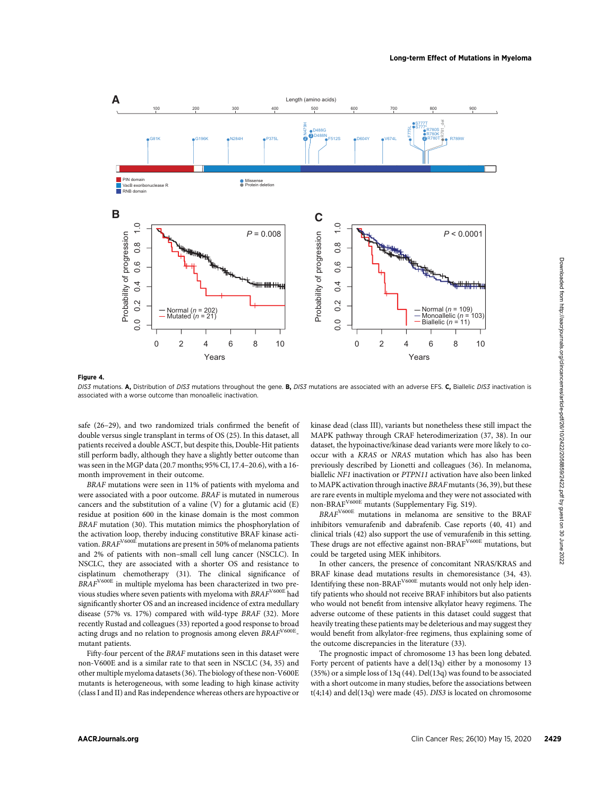

#### Figure 4.

DIS3 mutations. A, Distribution of DIS3 mutations throughout the gene. B, DIS3 mutations are associated with an adverse EFS. C, Biallelic DIS3 inactivation is associated with a worse outcome than monoallelic inactivation.

safe (26–29), and two randomized trials confirmed the benefit of double versus single transplant in terms of OS (25). In this dataset, all patients received a double ASCT, but despite this, Double-Hit patients still perform badly, although they have a slightly better outcome than was seen in the MGP data (20.7 months; 95% CI, 17.4–20.6), with a 16 month improvement in their outcome.

BRAF mutations were seen in 11% of patients with myeloma and were associated with a poor outcome. BRAF is mutated in numerous cancers and the substitution of a valine (V) for a glutamic acid (E) residue at position 600 in the kinase domain is the most common BRAF mutation (30). This mutation mimics the phosphorylation of the activation loop, thereby inducing constitutive BRAF kinase activation.  $\mathit{BRAF}^{\rm V600E}$  mutations are present in 50% of melanoma patients and 2% of patients with non–small cell lung cancer (NSCLC). In NSCLC, they are associated with a shorter OS and resistance to cisplatinum chemotherapy (31). The clinical significance of BRAFV600E in multiple myeloma has been characterized in two previous studies where seven patients with myeloma with  $\mathit{BRAF}^{\rm V600E}$  had significantly shorter OS and an increased incidence of extra medullary disease (57% vs. 17%) compared with wild-type BRAF (32). More recently Rustad and colleagues (33) reported a good response to broad acting drugs and no relation to prognosis among eleven BRAF<sup>V600E</sup>mutant patients.

Fifty-four percent of the BRAF mutations seen in this dataset were non-V600E and is a similar rate to that seen in NSCLC (34, 35) and other multiple myeloma datasets (36). The biology of these non-V600E mutants is heterogeneous, with some leading to high kinase activity (class I and II) and Ras independence whereas others are hypoactive or kinase dead (class III), variants but nonetheless these still impact the MAPK pathway through CRAF heterodimerization (37, 38). In our dataset, the hypoinactive/kinase dead variants were more likely to cooccur with a KRAS or NRAS mutation which has also has been previously described by Lionetti and colleagues (36). In melanoma, biallelic NF1 inactivation or PTPN11 activation have also been linked to MAPK activation through inactive BRAF mutants (36, 39), but these are rare events in multiple myeloma and they were not associated with non-BRAFV600E mutants (Supplementary Fig. S19).

BRAFV600E mutations in melanoma are sensitive to the BRAF inhibitors vemurafenib and dabrafenib. Case reports (40, 41) and clinical trials (42) also support the use of vemurafenib in this setting. These drugs are not effective against non-BRAF<sup>V600E</sup> mutations, but could be targeted using MEK inhibitors.

In other cancers, the presence of concomitant NRAS/KRAS and BRAF kinase dead mutations results in chemoresistance (34, 43). Identifying these non-BRAF<sup>V600E</sup> mutants would not only help identify patients who should not receive BRAF inhibitors but also patients who would not benefit from intensive alkylator heavy regimens. The adverse outcome of these patients in this dataset could suggest that heavily treating these patients may be deleterious and may suggest they would benefit from alkylator-free regimens, thus explaining some of the outcome discrepancies in the literature (33).

The prognostic impact of chromosome 13 has been long debated. Forty percent of patients have a del(13q) either by a monosomy 13 (35%) or a simple loss of 13q (44). Del(13q) was found to be associated with a short outcome in many studies, before the associations between  $t(4;14)$  and del $(13q)$  were made  $(45)$ . DIS3 is located on chromosome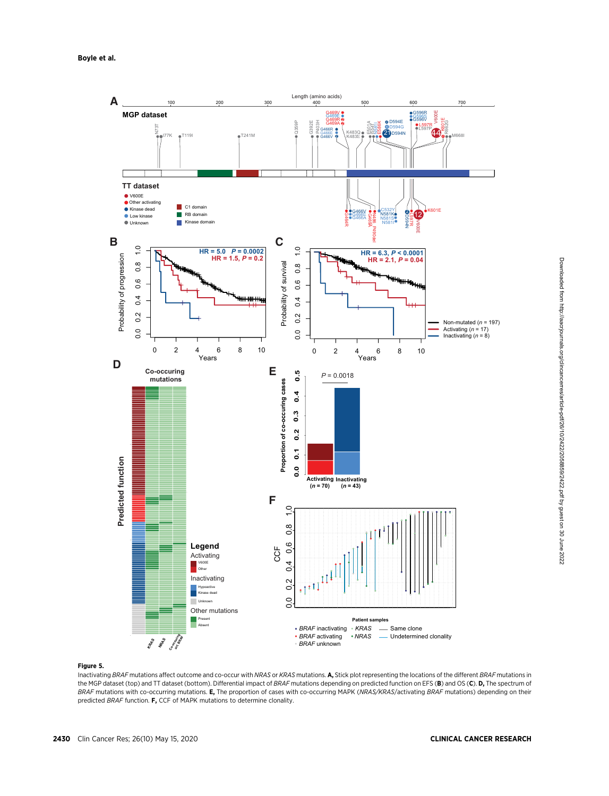

Downloaded from http://aacrjournals.org/clincancerres/article-pdf/26/10/2422/2058859/2422.pdf by guest on 30 June 2022 Downloaded from http://aacrjournals.org/clincancerres/article-pdf/26/10/2422/2058859/2422.pdf by guest on 30 June 2022

# Figure 5.

Inactivating BRAF mutations affect outcome and co-occur with NRAS or KRAS mutations. A, Stick plot representing the locations of the different BRAF mutations in the MGP dataset (top) and TT dataset (bottom). Differential impact of BRAF mutations depending on predicted function on EFS (B) and OS (C). D, The spectrum of BRAF mutations with co-occurring mutations. E, The proportion of cases with co-occurring MAPK (NRAS/KRAS/activating BRAF mutations) depending on their predicted BRAF function. F, CCF of MAPK mutations to determine clonality.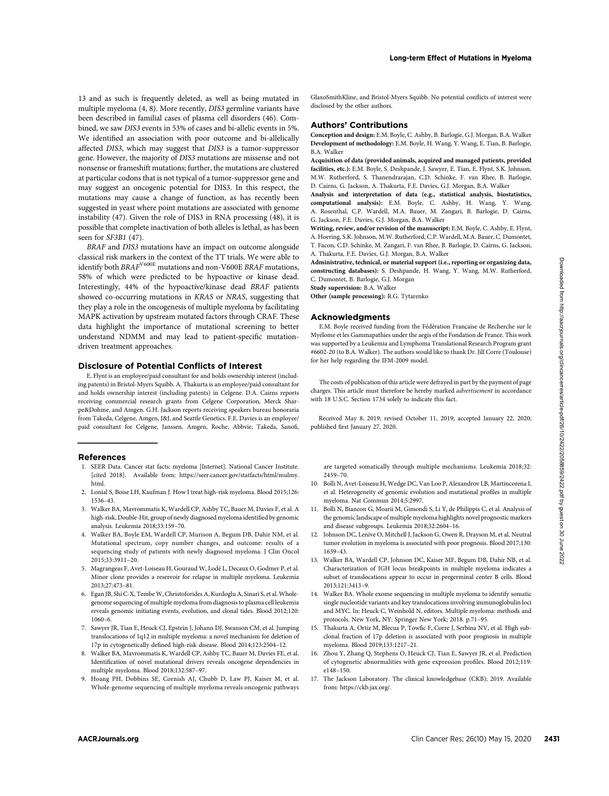13 and as such is frequently deleted, as well as being mutated in multiple myeloma (4, 8). More recently, DIS3 germline variants have been described in familial cases of plasma cell disorders (46). Combined, we saw DIS3 events in 53% of cases and bi-allelic events in 5%. We identified an association with poor outcome and bi-allelically affected DIS3, which may suggest that DIS3 is a tumor-suppressor gene. However, the majority of DIS3 mutations are missense and not nonsense or frameshift mutations; further, the mutations are clustered at particular codons that is not typical of a tumor-suppressor gene and may suggest an oncogenic potential for DIS3. In this respect, the mutations may cause a change of function, as has recently been suggested in yeast where point mutations are associated with genome instability (47). Given the role of DIS3 in RNA processing (48), it is possible that complete inactivation of both alleles is lethal, as has been seen for SF3B1 (47).

BRAF and DIS3 mutations have an impact on outcome alongside classical risk markers in the context of the TT trials. We were able to identify both BRAFV600E mutations and non-V600E BRAF mutations, 58% of which were predicted to be hypoactive or kinase dead. Interestingly, 44% of the hypoactive/kinase dead BRAF patients showed co-occurring mutations in KRAS or NRAS, suggesting that they play a role in the oncogenesis of multiple myeloma by facilitating MAPK activation by upstream mutated factors through CRAF. These data highlight the importance of mutational screening to better understand NDMM and may lead to patient-specific mutationdriven treatment approaches. Acceler of the clinical state of the clinical state of the clinical state of the clinical state of the clinical state of the clinical state of the clinical state of the clinical state of the clinical state of the clinical

### Disclosure of Potential Conflicts of Interest

E. Flynt is an employee/paid consultant for and holds ownership interest (including patents) in Bristol-Myers Squibb. A. Thakurta is an employee/paid consultant for and holds ownership interest (including patents) in Celgene. D.A. Cairns reports receiving commercial research grants from Celgene Corporation, Merck Sharpe&Dohme, and Amgen. G.H. Jackson reports receiving speakers bureau honoraria from Takeda, Celgene, Amgen, J&J, and Seattle Genetics. F.E. Davies is an employee/ paid consultant for Celgene, Janssen, Amgen, Roche, Abbvie, Takeda, Sanofi,

#### References

- 1. SEER Data. Cancer stat facts: myeloma [Internet]. National Cancer Institute. [cited 2018]. Available from: [https://seer.cancer.gov/statfacts/html/mulmy.](https://seer.cancer.gov/statfacts/html/mulmy.html) [html](https://seer.cancer.gov/statfacts/html/mulmy.html).
- 2. Lonial S, Boise LH, Kaufman J. How I treat high-risk myeloma. Blood 2015;126: 1536–43.
- 3. Walker BA, Mavrommatis K, Wardell CP, Ashby TC, Bauer M, Davies F, et al. A high-risk, Double-Hit, group of newly diagnosed myeloma identified by genomic analysis. Leukemia 2018;33:159–70.
- 4. Walker BA, Boyle EM, Wardell CP, Murison A, Begum DB, Dahir NM, et al. Mutational spectrum, copy number changes, and outcome: results of a sequencing study of patients with newly diagnosed myeloma. J Clin Oncol 2015;33:3911–20.
- 5. Magrangeas F, Avet-Loiseau H, Gouraud W, Lodé L, Decaux O, Godmer P, et al. Minor clone provides a reservoir for relapse in multiple myeloma. Leukemia 2013;27:473–81.
- 6. Egan JB, Shi C-X, TembeW, Christoforides A, Kurdoglu A, Sinari S, et al.Wholegenome sequencing of multiple myeloma from diagnosis to plasma cell leukemia reveals genomic initiating events, evolution, and clonal tides. Blood 2012;120: 1060–6.
- 7. Sawyer JR, Tian E, Heuck CJ, Epstein J, Johann DJ, Swanson CM, et al. Jumping translocations of 1q12 in multiple myeloma: a novel mechanism for deletion of 17p in cytogenetically defined high-risk disease. Blood 2014;123:2504–12.
- 8. Walker BA, Mavrommatis K, Wardell CP, Ashby TC, Bauer M, Davies FE, et al. Identification of novel mutational drivers reveals oncogene dependencies in multiple myeloma. Blood 2018;132:587–97.
- 9. Hoang PH, Dobbins SE, Cornish AJ, Chubb D, Law PJ, Kaiser M, et al. Whole-genome sequencing of multiple myeloma reveals oncogenic pathways

GlaxoSmithKline, and Bristol-Myers Squibb. No potential conflicts of interest were disclosed by the other authors.

### Authors' Contributions

Conception and design: E.M. Boyle, C. Ashby, B. Barlogie, G.J. Morgan, B.A. Walker Development of methodology: E.M. Boyle, H. Wang, Y. Wang, E. Tian, B. Barlogie, B.A. Walker

Acquisition of data (provided animals, acquired and managed patients, provided facilities, etc.): E.M. Boyle, S. Deshpande, J. Sawyer, E. Tian, E. Flynt, S.K. Johnson, M.W. Rutherford, S. Thanendrarajan, C.D. Schinke, F. van Rhee, B. Barlogie, D. Cairns, G. Jackson, A. Thakurta, F.E. Davies, G.J. Morgan, B.A. Walker

Analysis and interpretation of data (e.g., statistical analysis, biostatistics, computational analysis): E.M. Boyle, C. Ashby, H. Wang, Y. Wang, A. Rosenthal, C.P. Wardell, M.A. Bauer, M. Zangari, B. Barlogie, D. Cairns, G. Jackson, F.E. Davies, G.J. Morgan, B.A. Walker

Writing, review, and/or revision of the manuscript: E.M. Boyle, C. Ashby, E. Flynt, A. Hoering, S.K. Johnson, M.W. Rutherford, C.P. Wardell, M.A. Bauer, C. Dumontet, T. Facon, C.D. Schinke, M. Zangari, F. van Rhee, B. Barlogie, D. Cairns, G. Jackson, A. Thakurta, F.E. Davies, G.J. Morgan, B.A. Walker

Administrative, technical, or material support (i.e., reporting or organizing data, constructing databases): S. Deshpande, H. Wang, Y. Wang, M.W. Rutherford, C. Dumontet, B. Barlogie, G.J. Morgan

Study supervision: B.A. Walker

Other (sample processing): R.G. Tytarenko

#### Acknowledgments

E.M. Boyle received funding from the Fédération Française de Recherche sur le Myélome et les Gammapathies under the aegis of the Fondation de France. This work was supported by a Leukemia and Lymphoma Translational Research Program grant #6602-20 (to B.A. Walker). The authors would like to thank Dr. Jill Corre (Toulouse) for her help regarding the IFM-2009 model.

The costs of publication of this article were defrayed in part by the payment of page charges. This article must therefore be hereby marked advertisement in accordance with 18 U.S.C. Section 1734 solely to indicate this fact.

Received May 8, 2019; revised October 11, 2019; accepted January 22, 2020; published first January 27, 2020.

are targeted somatically through multiple mechanisms. Leukemia 2018;32: 2459–70.

- 10. Bolli N, Avet-Loiseau H, Wedge DC, Van Loo P, Alexandrov LB, Martincorena I, et al. Heterogeneity of genomic evolution and mutational profiles in multiple myeloma. Nat Commun 2014;5:2997.
- 11. Bolli N, Biancon G, Moarii M, Gimondi S, Li Y, de Philippis C, et al. Analysis of the genomic landscape of multiple myeloma highlights novel prognostic markers and disease subgroups. Leukemia 2018;32:2604–16.
- 12. Johnson DC, Lenive O, Mitchell J, Jackson G, Owen R, Drayson M, et al. Neutral tumor evolution in myeloma is associated with poor prognosis. Blood 2017;130: 1639–43.
- 13. Walker BA, Wardell CP, Johnson DC, Kaiser MF, Begum DB, Dahir NB, et al. Characterization of IGH locus breakpoints in multiple myeloma indicates a subset of translocations appear to occur in pregerminal center B cells. Blood 2013;121:3413–9.
- 14. Walker BA. Whole exome sequencing in multiple myeloma to identify somatic single nucleotide variants and key translocations involving immunoglobulin loci and MYC. In: Heuck C, Weinhold N, editors. Multiple myeloma: methods and protocols. New York, NY: Springer New York; 2018. p.71–95.
- 15. Thakurta A, Ortiz M, Blecua P, Towfic F, Corre J, Serbina NV, et al. High subclonal fraction of 17p deletion is associated with poor prognosis in multiple myeloma. Blood 2019;133:1217–21.
- 16. Zhou Y, Zhang Q, Stephens O, Heuck CJ, Tian E, Sawyer JR, et al. Prediction of cytogenetic abnormalities with gene expression profiles. Blood 2012;119: e148–150.
- 17. The Jackson Laboratory. The clinical knowledgebase (CKB); 2019. Available from: [https://ckb.jax.org/.](https://ckb.jax.org/)